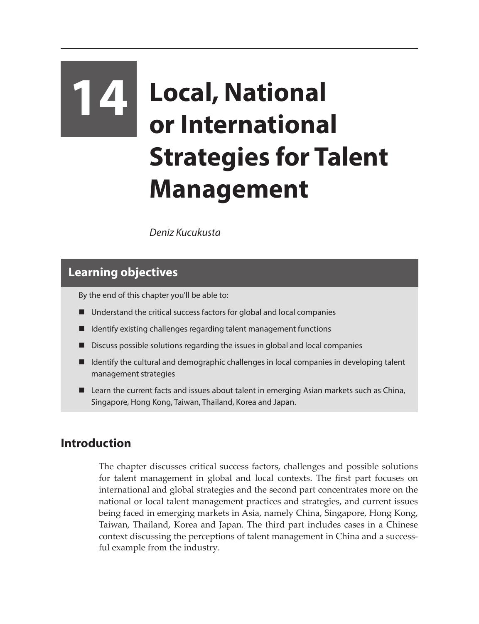# **14 Local, National or International Strategies for Talent Management**

*Deniz Kucukusta*

## **Learning objectives**

By the end of this chapter you'll be able to:

- Understand the critical success factors for global and local companies
- Identify existing challenges regarding talent management functions
- Discuss possible solutions regarding the issues in global and local companies
- Identify the cultural and demographic challenges in local companies in developing talent management strategies
- Learn the current facts and issues about talent in emerging Asian markets such as China, Singapore, Hong Kong, Taiwan, Thailand, Korea and Japan.

#### **Introduction**

The chapter discusses critical success factors, challenges and possible solutions for talent management in global and local contexts. The first part focuses on international and global strategies and the second part concentrates more on the national or local talent management practices and strategies, and current issues being faced in emerging markets in Asia, namely China, Singapore, Hong Kong, Taiwan, Thailand, Korea and Japan. The third part includes cases in a Chinese context discussing the perceptions of talent management in China and a successful example from the industry.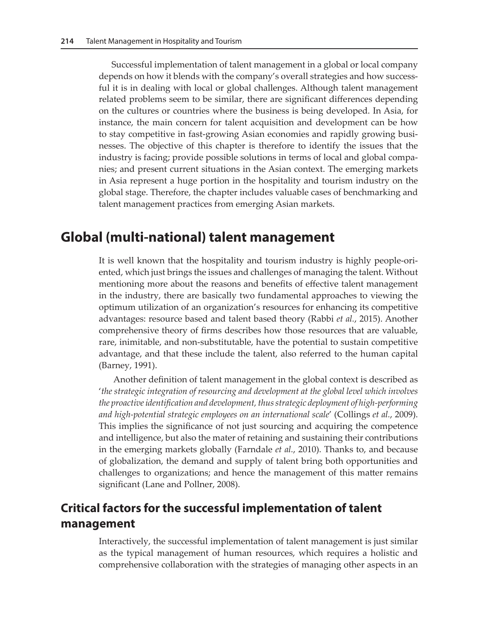Successful implementation of talent management in a global or local company depends on how it blends with the company's overall strategies and how successful it is in dealing with local or global challenges. Although talent management related problems seem to be similar, there are significant differences depending on the cultures or countries where the business is being developed. In Asia, for instance, the main concern for talent acquisition and development can be how to stay competitive in fast-growing Asian economies and rapidly growing businesses. The objective of this chapter is therefore to identify the issues that the industry is facing; provide possible solutions in terms of local and global companies; and present current situations in the Asian context. The emerging markets in Asia represent a huge portion in the hospitality and tourism industry on the global stage. Therefore, the chapter includes valuable cases of benchmarking and talent management practices from emerging Asian markets.

# **Global (multi-national) talent management**

It is well known that the hospitality and tourism industry is highly people-oriented, which just brings the issues and challenges of managing the talent. Without mentioning more about the reasons and benefits of effective talent management in the industry, there are basically two fundamental approaches to viewing the optimum utilization of an organization's resources for enhancing its competitive advantages: resource based and talent based theory (Rabbi *et al.*, 2015). Another comprehensive theory of firms describes how those resources that are valuable, rare, inimitable, and non-substitutable, have the potential to sustain competitive advantage, and that these include the talent, also referred to the human capital (Barney, 1991).

 Another definition of talent management in the global context is described as '*the strategic integration of resourcing and development at the global level which involves the proactive identification and development, thus strategic deployment of high-performing and high-potential strategic employees on an international scale*' (Collings *et al.*, 2009). This implies the significance of not just sourcing and acquiring the competence and intelligence, but also the mater of retaining and sustaining their contributions in the emerging markets globally (Farndale *et al.*, 2010). Thanks to, and because of globalization, the demand and supply of talent bring both opportunities and challenges to organizations; and hence the management of this matter remains significant (Lane and Pollner, 2008).

## **Critical factors for the successful implementation of talent management**

Interactively, the successful implementation of talent management is just similar as the typical management of human resources, which requires a holistic and comprehensive collaboration with the strategies of managing other aspects in an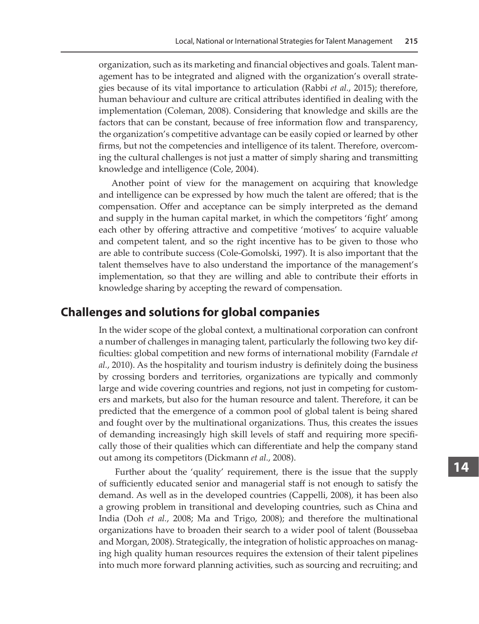organization, such as its marketing and financial objectives and goals. Talent management has to be integrated and aligned with the organization's overall strategies because of its vital importance to articulation (Rabbi *et al.*, 2015); therefore, human behaviour and culture are critical attributes identified in dealing with the implementation (Coleman, 2008). Considering that knowledge and skills are the factors that can be constant, because of free information flow and transparency, the organization's competitive advantage can be easily copied or learned by other firms, but not the competencies and intelligence of its talent. Therefore, overcoming the cultural challenges is not just a matter of simply sharing and transmitting knowledge and intelligence (Cole, 2004).

Another point of view for the management on acquiring that knowledge and intelligence can be expressed by how much the talent are offered; that is the compensation. Offer and acceptance can be simply interpreted as the demand and supply in the human capital market, in which the competitors 'fight' among each other by offering attractive and competitive 'motives' to acquire valuable and competent talent, and so the right incentive has to be given to those who are able to contribute success (Cole-Gomolski, 1997). It is also important that the talent themselves have to also understand the importance of the management's implementation, so that they are willing and able to contribute their efforts in knowledge sharing by accepting the reward of compensation.

#### **Challenges and solutions for global companies**

In the wider scope of the global context, a multinational corporation can confront a number of challenges in managing talent, particularly the following two key difficulties: global competition and new forms of international mobility (Farndale *et al.*, 2010). As the hospitality and tourism industry is definitely doing the business by crossing borders and territories, organizations are typically and commonly large and wide covering countries and regions, not just in competing for customers and markets, but also for the human resource and talent. Therefore, it can be predicted that the emergence of a common pool of global talent is being shared and fought over by the multinational organizations. Thus, this creates the issues of demanding increasingly high skill levels of staff and requiring more specifically those of their qualities which can differentiate and help the company stand out among its competitors (Dickmann *et al.*, 2008).

 Further about the 'quality' requirement, there is the issue that the supply of sufficiently educated senior and managerial staff is not enough to satisfy the demand. As well as in the developed countries (Cappelli, 2008), it has been also a growing problem in transitional and developing countries, such as China and India (Doh *et al.*, 2008; Ma and Trigo, 2008); and therefore the multinational organizations have to broaden their search to a wider pool of talent (Boussebaa and Morgan, 2008). Strategically, the integration of holistic approaches on managing high quality human resources requires the extension of their talent pipelines into much more forward planning activities, such as sourcing and recruiting; and